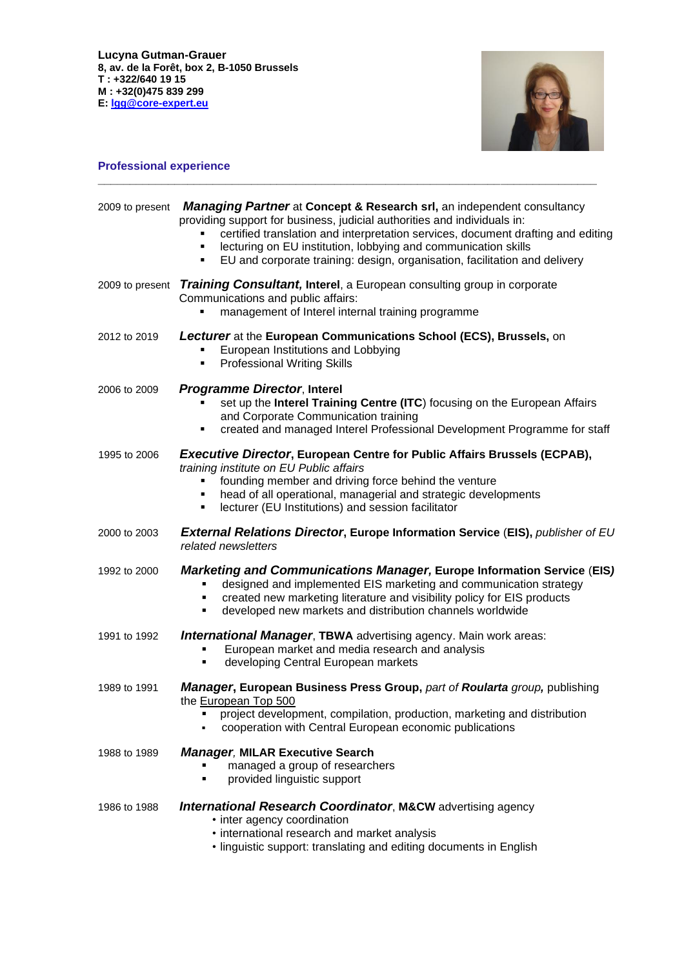

# **Professional experience**

|              | 2009 to present <b>Managing Partner</b> at Concept & Research srl, an independent consultancy<br>providing support for business, judicial authorities and individuals in:<br>certified translation and interpretation services, document drafting and editing<br>lecturing on EU institution, lobbying and communication skills<br>٠<br>EU and corporate training: design, organisation, facilitation and delivery<br>٠ |  |
|--------------|-------------------------------------------------------------------------------------------------------------------------------------------------------------------------------------------------------------------------------------------------------------------------------------------------------------------------------------------------------------------------------------------------------------------------|--|
|              | 2009 to present Training Consultant, Interel, a European consulting group in corporate<br>Communications and public affairs:<br>management of Interel internal training programme                                                                                                                                                                                                                                       |  |
| 2012 to 2019 | Lecturer at the European Communications School (ECS), Brussels, on<br>European Institutions and Lobbying<br><b>Professional Writing Skills</b><br>٠                                                                                                                                                                                                                                                                     |  |
| 2006 to 2009 | <b>Programme Director, Interel</b><br>set up the Interel Training Centre (ITC) focusing on the European Affairs<br>and Corporate Communication training<br>created and managed Interel Professional Development Programme for staff<br>٠                                                                                                                                                                                |  |
| 1995 to 2006 | <b>Executive Director, European Centre for Public Affairs Brussels (ECPAB),</b><br>training institute on EU Public affairs<br>founding member and driving force behind the venture<br>head of all operational, managerial and strategic developments<br>٠<br>lecturer (EU Institutions) and session facilitator<br>٠                                                                                                    |  |
| 2000 to 2003 | <b>External Relations Director, Europe Information Service (EIS), publisher of EU</b><br>related newsletters                                                                                                                                                                                                                                                                                                            |  |
| 1992 to 2000 | <b>Marketing and Communications Manager, Europe Information Service (EIS)</b><br>designed and implemented EIS marketing and communication strategy<br>created new marketing literature and visibility policy for EIS products<br>٠<br>developed new markets and distribution channels worldwide<br>п                                                                                                                    |  |
| 1991 to 1992 | <b>International Manager, TBWA</b> advertising agency. Main work areas:<br>European market and media research and analysis<br>developing Central European markets<br>٠                                                                                                                                                                                                                                                  |  |
| 1989 to 1991 | <b>Manager, European Business Press Group, part of Roularta group, publishing</b><br>the European Top 500<br>project development, compilation, production, marketing and distribution<br>cooperation with Central European economic publications                                                                                                                                                                        |  |
| 1988 to 1989 | <b>Manager, MILAR Executive Search</b><br>managed a group of researchers<br>provided linguistic support<br>Ξ                                                                                                                                                                                                                                                                                                            |  |
| 1986 to 1988 | <b>International Research Coordinator, M&amp;CW</b> advertising agency<br>• inter agency coordination<br>• international research and market analysis<br>• linguistic support: translating and editing documents in English                                                                                                                                                                                             |  |

**\_\_\_\_\_\_\_\_\_\_\_\_\_\_\_\_\_\_\_\_\_\_\_\_\_\_\_\_\_\_\_\_\_\_\_\_\_\_\_\_\_\_\_\_\_\_\_\_\_\_\_\_\_\_\_\_\_\_\_\_\_\_\_\_\_\_\_\_\_\_\_\_\_\_\_\_\_\_**